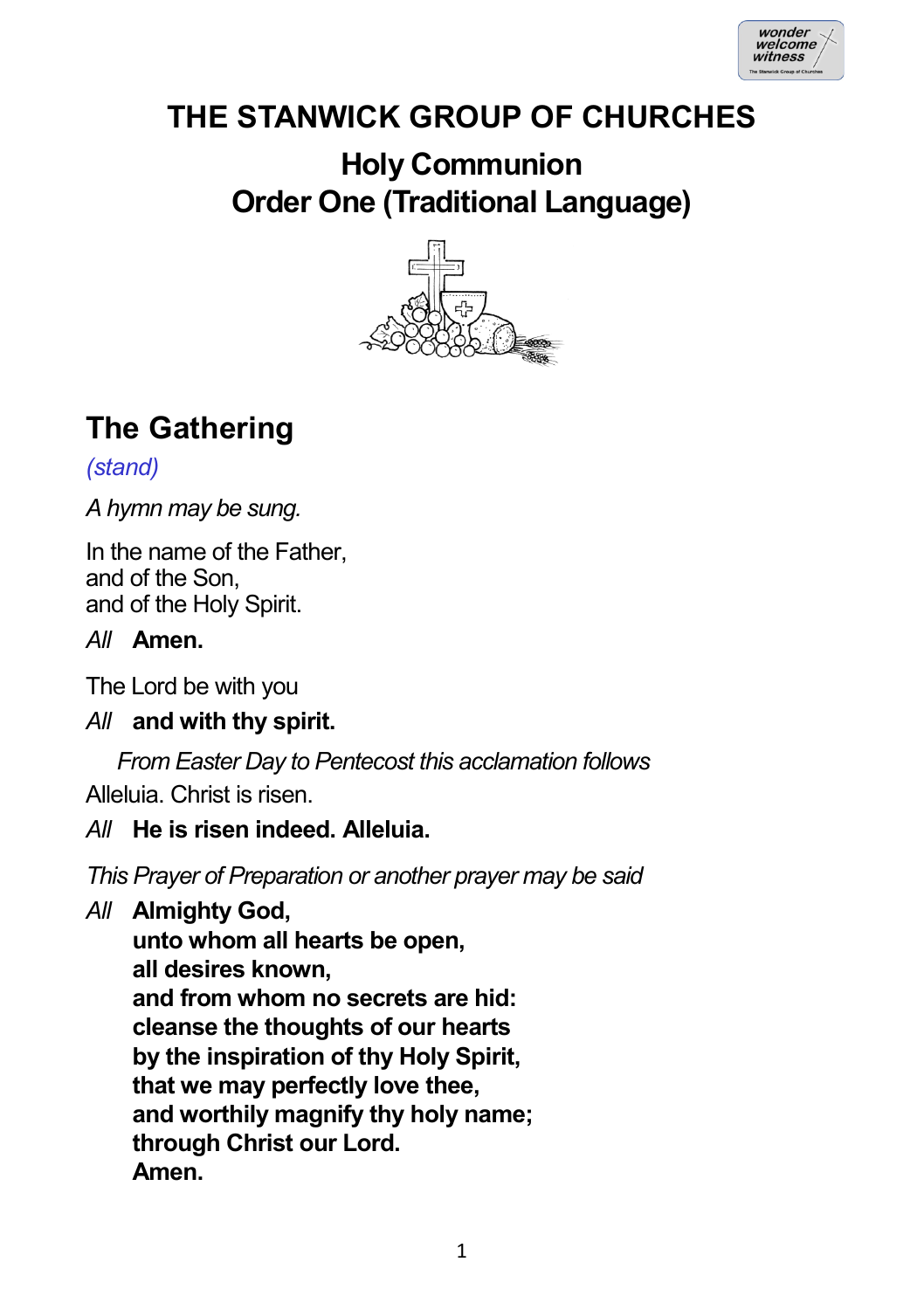

# **THE STANWICK GROUP OF CHURCHES**

## **Holy Communion Order One (Traditional Language)**



# **The Gathering**

*(stand)*

*A hymn may be sung.*

In the name of the Father, and of the Son, and of the Holy Spirit.

### *All* **Amen.**

The Lord be with you

*All* **and with thy spirit.**

*From Easter Day to Pentecost this acclamation follows* Alleluia. Christ is risen.

## *All* **He is risen indeed. Alleluia.**

*This Prayer of Preparation or another prayer may be said*

*All* **Almighty God,**

**unto whom all hearts be open, all desires known, and from whom no secrets are hid: cleanse the thoughts of our hearts by the inspiration of thy Holy Spirit, that we may perfectly love thee, and worthily magnify thy holy name; through Christ our Lord. Amen.**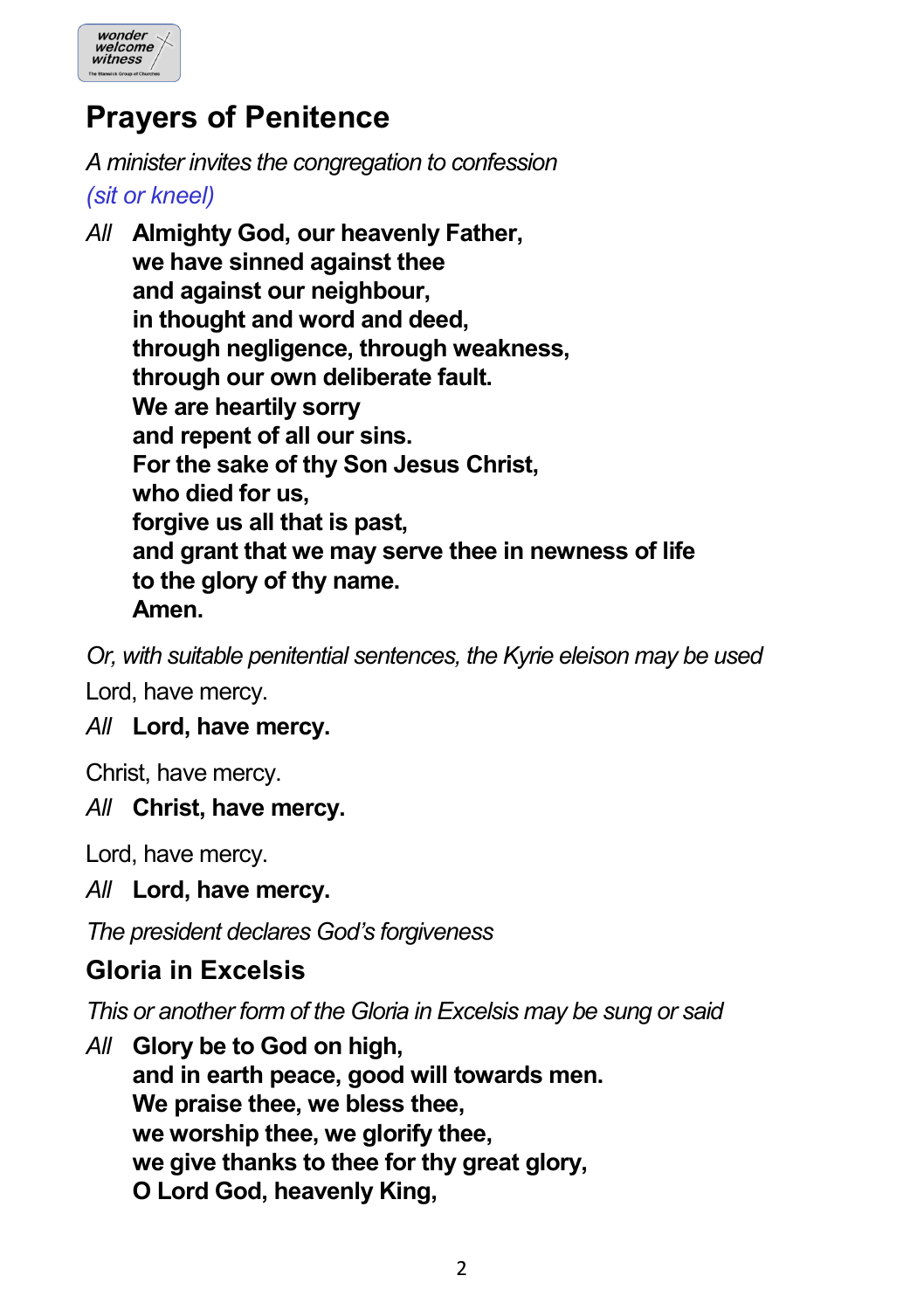

## **Prayers of Penitence**

*A minister invites the congregation to confession (sit or kneel)*

*All* **Almighty God, our heavenly Father, we have sinned against thee and against our neighbour, in thought and word and deed, through negligence, through weakness, through our own deliberate fault. We are heartily sorry and repent of all our sins. For the sake of thy Son Jesus Christ, who died for us, forgive us all that is past, and grant that we may serve thee in newness of life to the glory of thy name. Amen.**

*Or, with suitable penitential sentences, the Kyrie eleison may be used* Lord, have mercy.

### *All* **Lord, have mercy.**

Christ, have mercy.

### *All* **Christ, have mercy.**

Lord, have mercy.

*All* **Lord, have mercy.**

*The president declares God's forgiveness*

### **Gloria in Excelsis**

*This or another form of the Gloria in Excelsis may be sung or said*

*All* **Glory be to God on high, and in earth peace, good will towards men. We praise thee, we bless thee, we worship thee, we glorify thee, we give thanks to thee for thy great glory, O Lord God, heavenly King,**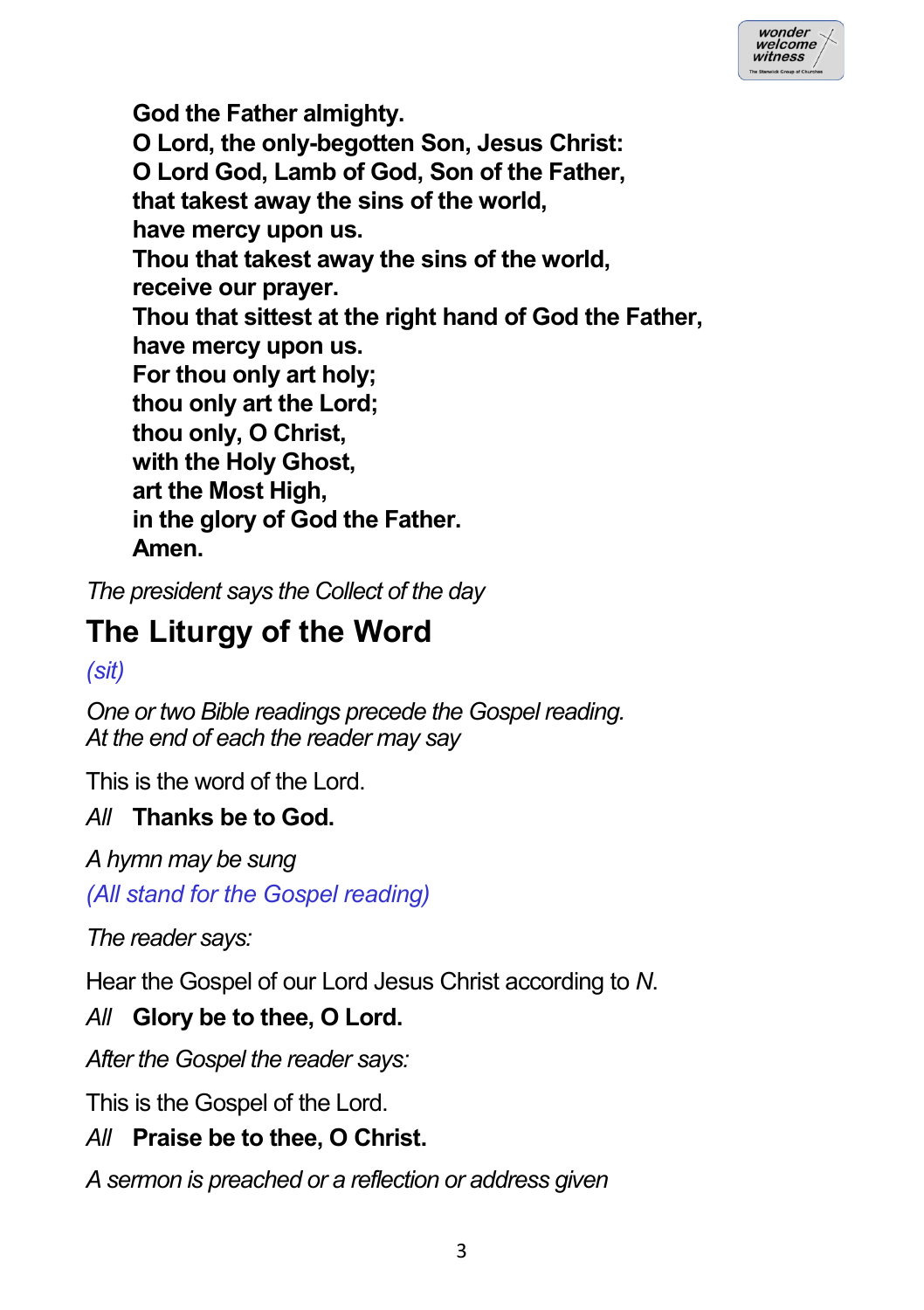| wonder<br>welcome<br>witness |  |
|------------------------------|--|
|                              |  |

**God the Father almighty. O Lord, the only-begotten Son, Jesus Christ: O Lord God, Lamb of God, Son of the Father, that takest away the sins of the world, have mercy upon us. Thou that takest away the sins of the world, receive our prayer. Thou that sittest at the right hand of God the Father, have mercy upon us. For thou only art holy; thou only art the Lord; thou only, O Christ, with the Holy Ghost, art the Most High, in the glory of God the Father. Amen.**

*The president says the Collect of the day*

# **The Liturgy of the Word**

*(sit)*

*One or two Bible readings precede the Gospel reading. At the end of each the reader may say*

This is the word of the Lord.

### *All* **Thanks be to God.**

*A hymn may be sung*

*(All stand for the Gospel reading)*

*The reader says:*

Hear the Gospel of our Lord Jesus Christ according to *N*.

### *All* **Glory be to thee, O Lord.**

*After the Gospel the reader says:*

This is the Gospel of the Lord.

## *All* **Praise be to thee, O Christ.**

*A sermon is preached or a reflection or address given*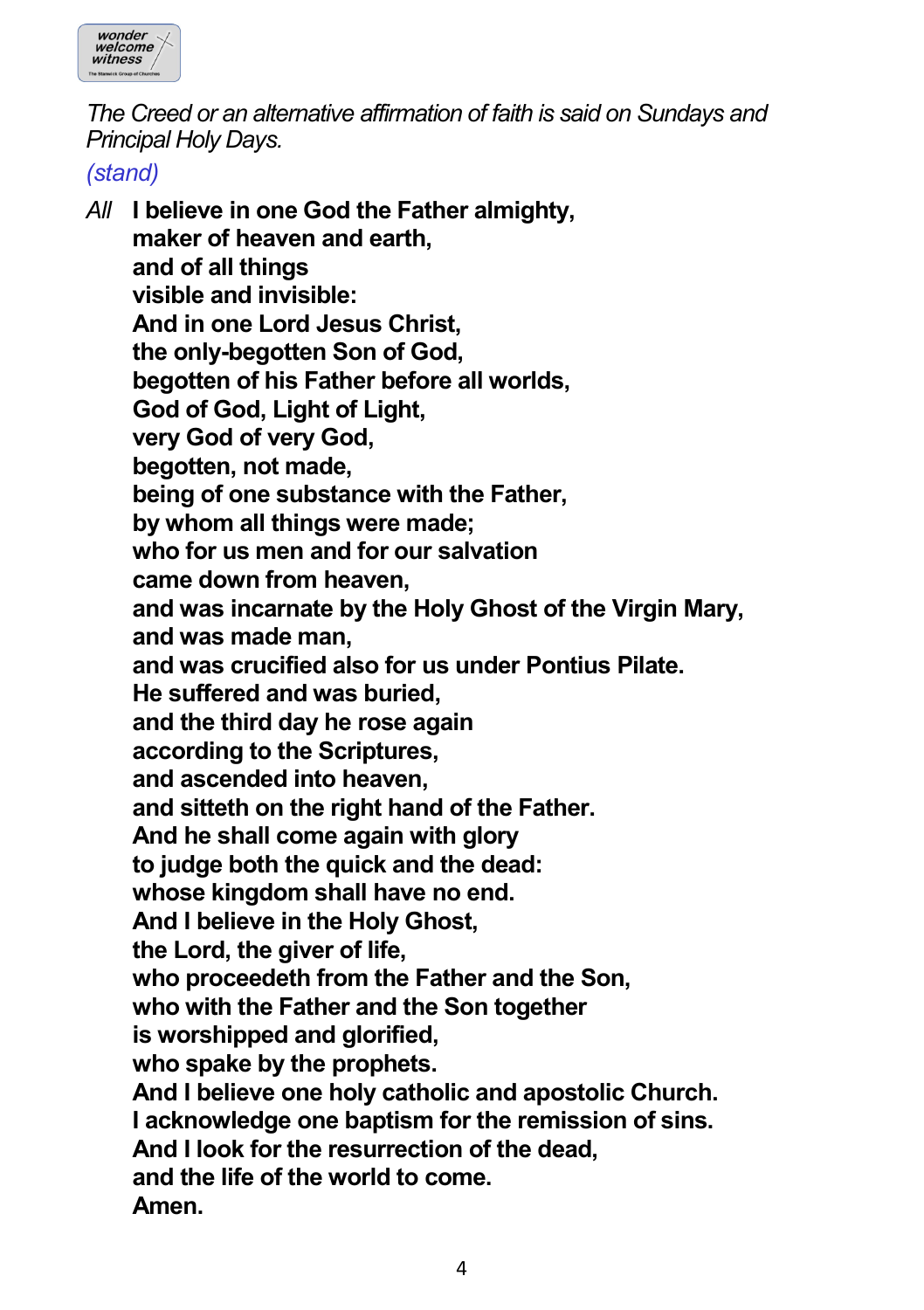

*The Creed or an alternative affirmation of faith is said on Sundays and Principal Holy Days.*

*(stand)*

*All* **I believe in one God the Father almighty, maker of heaven and earth, and of all things visible and invisible: And in one Lord Jesus Christ, the only-begotten Son of God, begotten of his Father before all worlds, God of God, Light of Light, very God of very God, begotten, not made, being of one substance with the Father, by whom all things were made; who for us men and for our salvation came down from heaven, and was incarnate by the Holy Ghost of the Virgin Mary, and was made man, and was crucified also for us under Pontius Pilate. He suffered and was buried, and the third day he rose again according to the Scriptures, and ascended into heaven, and sitteth on the right hand of the Father. And he shall come again with glory to judge both the quick and the dead: whose kingdom shall have no end. And I believe in the Holy Ghost, the Lord, the giver of life, who proceedeth from the Father and the Son, who with the Father and the Son together is worshipped and glorified, who spake by the prophets. And I believe one holy catholic and apostolic Church. I acknowledge one baptism for the remission of sins. And I look for the resurrection of the dead, and the life of the world to come. Amen.**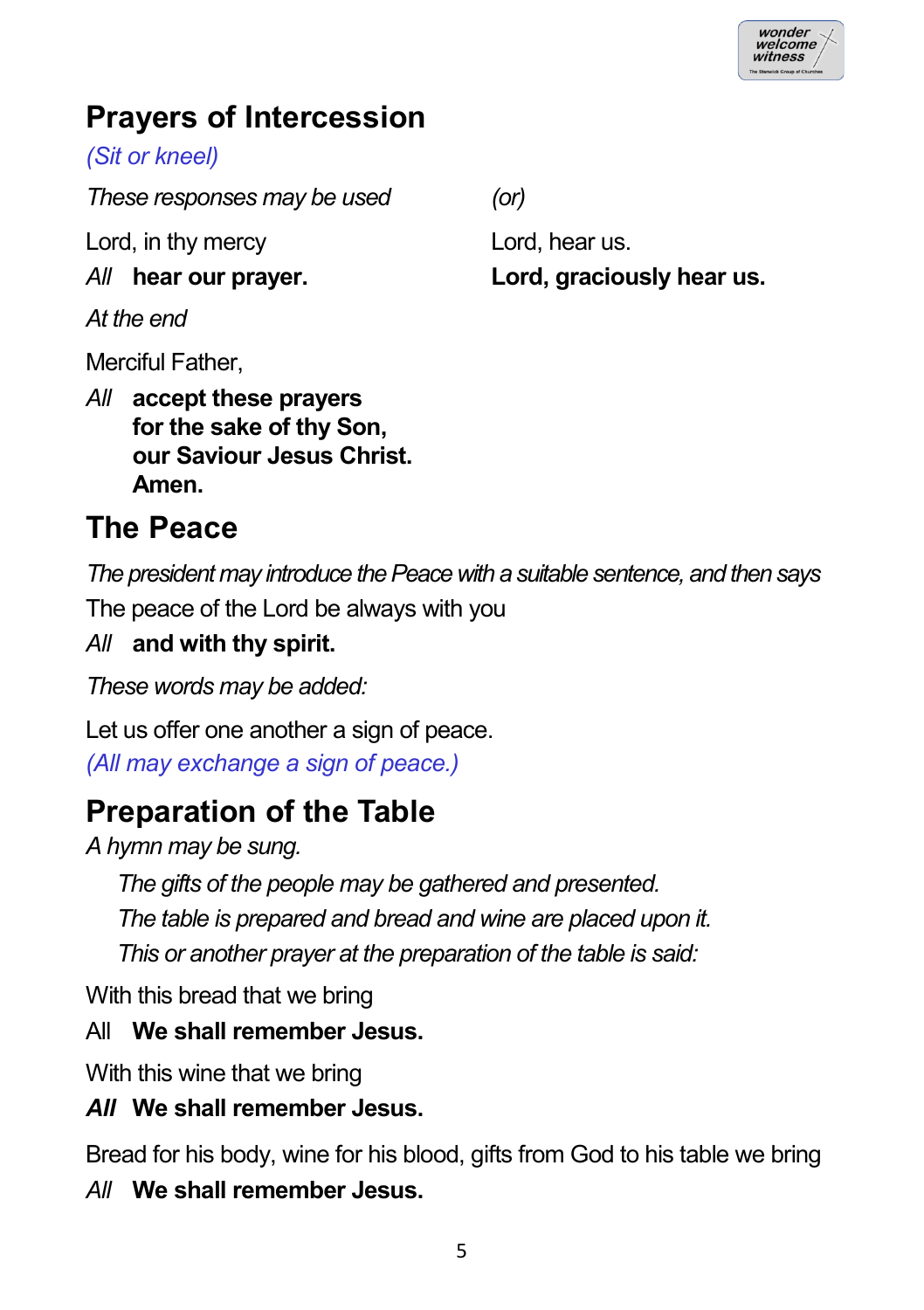# **Prayers of Intercession**

*(Sit or kneel)*

*These responses may be used (or)*

Lord, in thy mercy Lord, hear us.

*At the end*

Merciful Father,

*All* **accept these prayers for the sake of thy Son, our Saviour Jesus Christ. Amen.**

**The Peace**

*The president may introduce the Peace with a suitable sentence, and then says*

The peace of the Lord be always with you

## *All* **and with thy spirit.**

*These words may be added:*

Let us offer one another a sign of peace. *(All may exchange a sign of peace.)*

# **Preparation of the Table**

*A hymn may be sung.*

*The gifts of the people may be gathered and presented.*

*The table is prepared and bread and wine are placed upon it.*

*This or another prayer at the preparation of the table is said:*

With this bread that we bring

## All **We shall remember Jesus.**

With this wine that we bring

## *All* **We shall remember Jesus.**

Bread for his body, wine for his blood, gifts from God to his table we bring *All* **We shall remember Jesus.**

*All* **hear our prayer. Lord, graciously hear us.**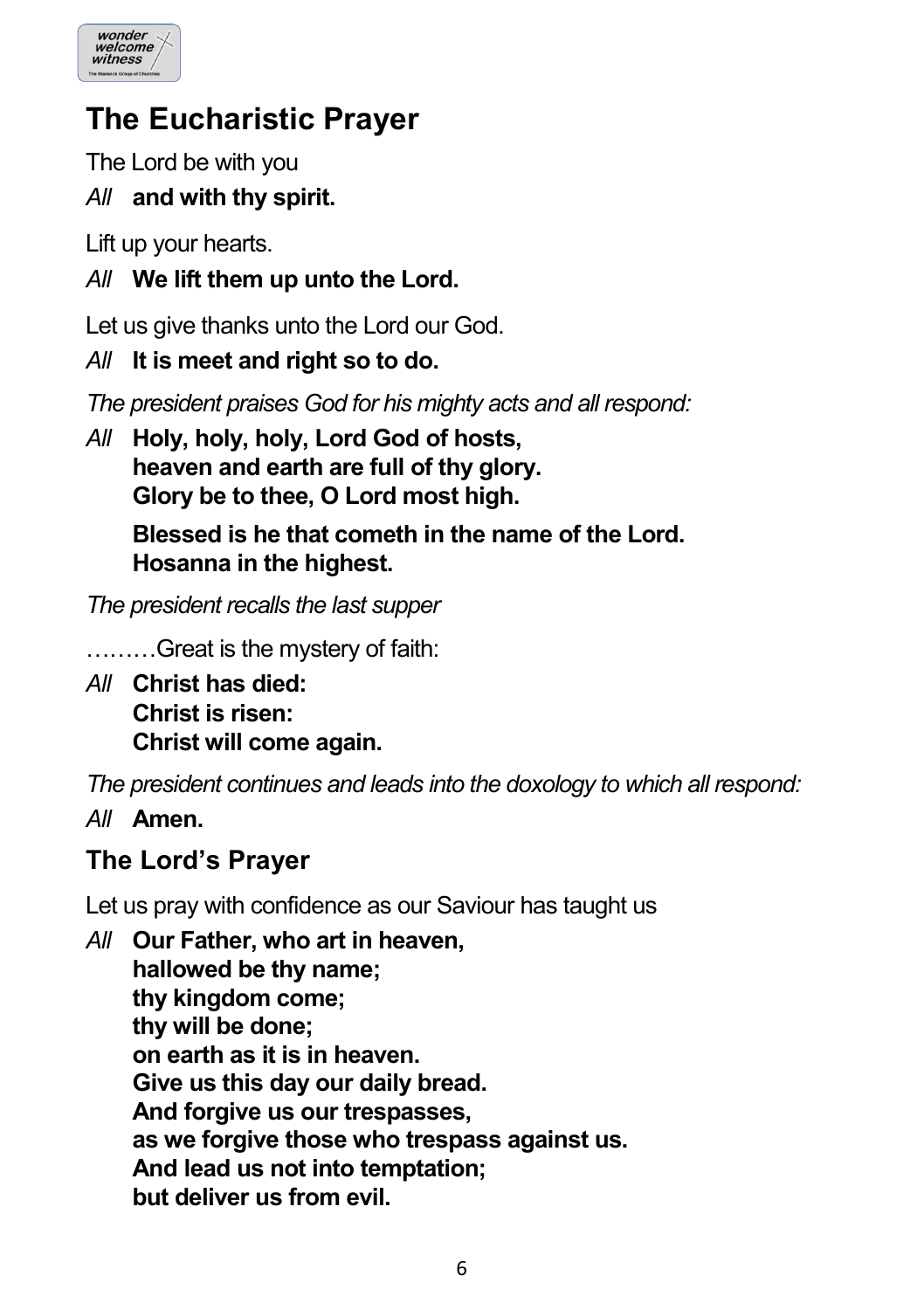

# **The Eucharistic Prayer**

The Lord be with you

## *All* **and with thy spirit.**

Lift up your hearts.

### *All* **We lift them up unto the Lord.**

Let us give thanks unto the Lord our God.

*All* **It is meet and right so to do.**

*The president praises God for his mighty acts and all respond:*

*All* **Holy, holy, holy, Lord God of hosts, heaven and earth are full of thy glory. Glory be to thee, O Lord most high.**

> **Blessed is he that cometh in the name of the Lord. Hosanna in the highest.**

*The president recalls the last supper*

………Great is the mystery of faith:

*All* **Christ has died: Christ is risen: Christ will come again.**

*The president continues and leads into the doxology to which all respond:*

*All* **Amen.**

## **The Lord's Prayer**

Let us pray with confidence as our Saviour has taught us

*All* **Our Father, who art in heaven, hallowed be thy name; thy kingdom come; thy will be done; on earth as it is in heaven. Give us this day our daily bread. And forgive us our trespasses, as we forgive those who trespass against us. And lead us not into temptation; but deliver us from evil.**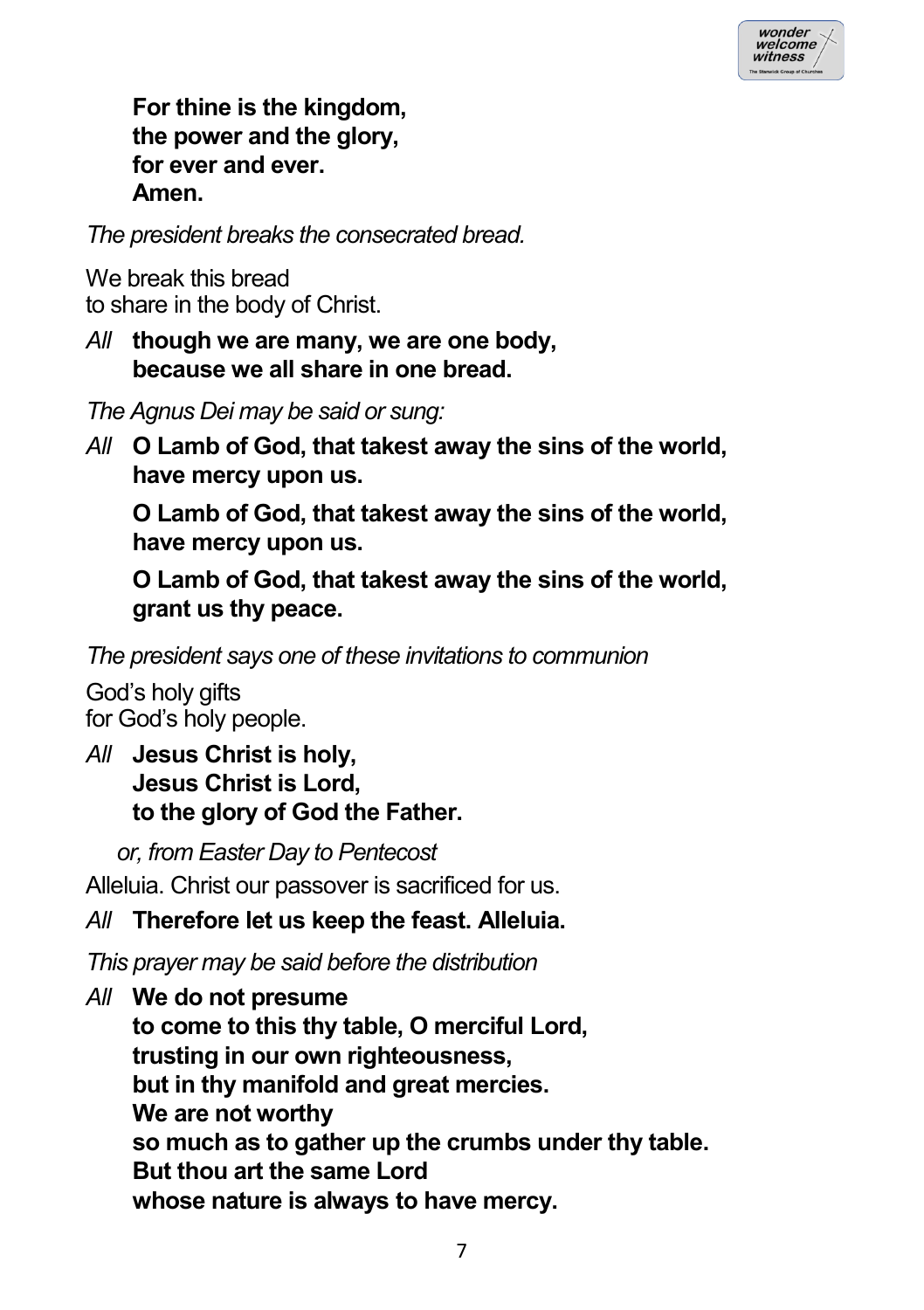

**For thine is the kingdom, the power and the glory, for ever and ever. Amen.**

*The president breaks the consecrated bread.*

We break this bread to share in the body of Christ.

*All* **though we are many, we are one body, because we all share in one bread.**

*The Agnus Dei may be said or sung:*

*All* **O Lamb of God, that takest away the sins of the world, have mercy upon us.**

**O Lamb of God, that takest away the sins of the world, have mercy upon us.**

**O Lamb of God, that takest away the sins of the world, grant us thy peace.**

*The president says one of these invitations to communion*

God's holy gifts for God's holy people.

*All* **Jesus Christ is holy, Jesus Christ is Lord, to the glory of God the Father.**

*or, from Easter Day to Pentecost*

Alleluia. Christ our passover is sacrificed for us.

### *All* **Therefore let us keep the feast. Alleluia.**

*This prayer may be said before the distribution*

*All* **We do not presume to come to this thy table, O merciful Lord, trusting in our own righteousness, but in thy manifold and great mercies. We are not worthy so much as to gather up the crumbs under thy table. But thou art the same Lord whose nature is always to have mercy.**